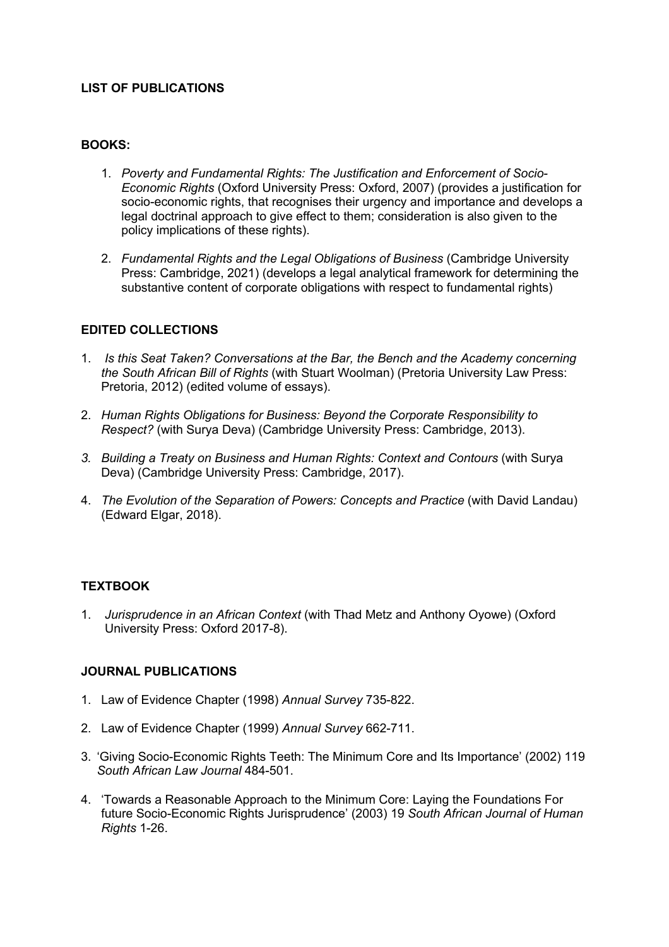## **LIST OF PUBLICATIONS**

## **BOOKS:**

- 1. *Poverty and Fundamental Rights: The Justification and Enforcement of Socio-Economic Rights* (Oxford University Press: Oxford, 2007) (provides a justification for socio-economic rights, that recognises their urgency and importance and develops a legal doctrinal approach to give effect to them; consideration is also given to the policy implications of these rights).
- 2. *Fundamental Rights and the Legal Obligations of Business* (Cambridge University Press: Cambridge, 2021) (develops a legal analytical framework for determining the substantive content of corporate obligations with respect to fundamental rights)

#### **EDITED COLLECTIONS**

- 1. *Is this Seat Taken? Conversations at the Bar, the Bench and the Academy concerning the South African Bill of Rights* (with Stuart Woolman) (Pretoria University Law Press: Pretoria, 2012) (edited volume of essays).
- 2. *Human Rights Obligations for Business: Beyond the Corporate Responsibility to Respect?* (with Surya Deva) (Cambridge University Press: Cambridge, 2013).
- *3. Building a Treaty on Business and Human Rights: Context and Contours* (with Surya Deva) (Cambridge University Press: Cambridge, 2017).
- 4. *The Evolution of the Separation of Powers: Concepts and Practice* (with David Landau) (Edward Elgar, 2018).

# **TEXTBOOK**

1. *Jurisprudence in an African Context* (with Thad Metz and Anthony Oyowe) (Oxford University Press: Oxford 2017-8).

#### **JOURNAL PUBLICATIONS**

- 1. Law of Evidence Chapter (1998) *Annual Survey* 735-822.
- 2. Law of Evidence Chapter (1999) *Annual Survey* 662-711.
- 3. 'Giving Socio-Economic Rights Teeth: The Minimum Core and Its Importance' (2002) 119 *South African Law Journal* 484-501.
- 4. 'Towards a Reasonable Approach to the Minimum Core: Laying the Foundations For future Socio-Economic Rights Jurisprudence' (2003) 19 *South African Journal of Human Rights* 1-26.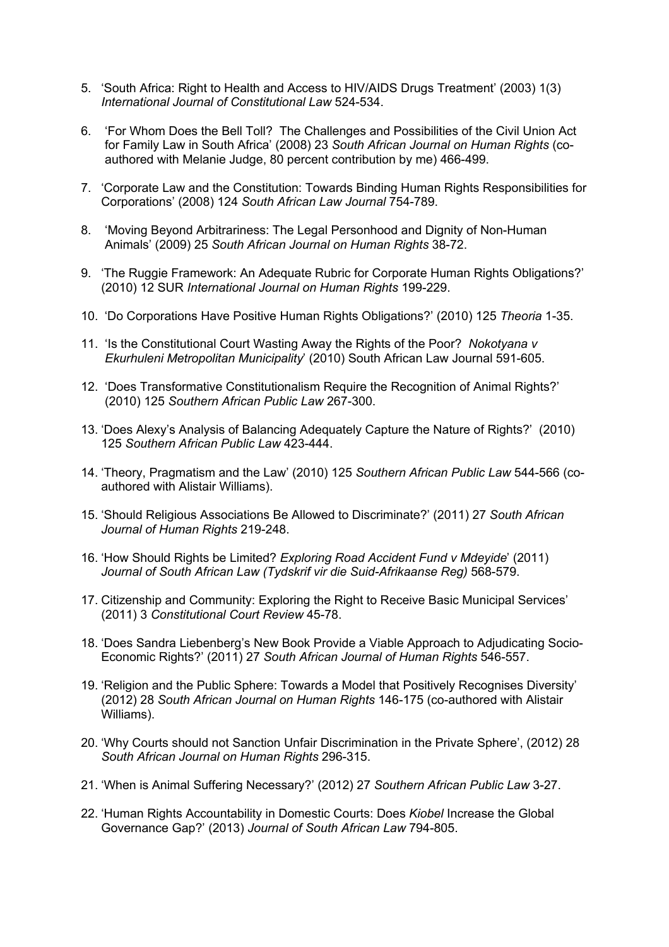- 5. 'South Africa: Right to Health and Access to HIV/AIDS Drugs Treatment' (2003) 1(3) *International Journal of Constitutional Law* 524-534.
- 6. 'For Whom Does the Bell Toll? The Challenges and Possibilities of the Civil Union Act for Family Law in South Africa' (2008) 23 *South African Journal on Human Rights* (coauthored with Melanie Judge, 80 percent contribution by me) 466-499.
- 7. 'Corporate Law and the Constitution: Towards Binding Human Rights Responsibilities for Corporations' (2008) 124 *South African Law Journal* 754-789.
- 8. 'Moving Beyond Arbitrariness: The Legal Personhood and Dignity of Non-Human Animals' (2009) 25 *South African Journal on Human Rights* 38-72.
- 9. 'The Ruggie Framework: An Adequate Rubric for Corporate Human Rights Obligations?' (2010) 12 SUR *International Journal on Human Rights* 199-229.
- 10. 'Do Corporations Have Positive Human Rights Obligations?' (2010) 125 *Theoria* 1-35.
- 11. 'Is the Constitutional Court Wasting Away the Rights of the Poor? *Nokotyana v Ekurhuleni Metropolitan Municipality*' (2010) South African Law Journal 591-605.
- 12. 'Does Transformative Constitutionalism Require the Recognition of Animal Rights?' (2010) 125 *Southern African Public Law* 267-300.
- 13. 'Does Alexy's Analysis of Balancing Adequately Capture the Nature of Rights?' (2010) 125 *Southern African Public Law* 423-444.
- 14. 'Theory, Pragmatism and the Law' (2010) 125 *Southern African Public Law* 544-566 (coauthored with Alistair Williams).
- 15. 'Should Religious Associations Be Allowed to Discriminate?' (2011) 27 *South African Journal of Human Rights* 219-248.
- 16. 'How Should Rights be Limited? *Exploring Road Accident Fund v Mdeyide*' (2011) *Journal of South African Law (Tydskrif vir die Suid-Afrikaanse Reg)* 568-579.
- 17. Citizenship and Community: Exploring the Right to Receive Basic Municipal Services' (2011) 3 *Constitutional Court Review* 45-78.
- 18. 'Does Sandra Liebenberg's New Book Provide a Viable Approach to Adjudicating Socio-Economic Rights?' (2011) 27 *South African Journal of Human Rights* 546-557.
- 19. 'Religion and the Public Sphere: Towards a Model that Positively Recognises Diversity' (2012) 28 *South African Journal on Human Rights* 146-175 (co-authored with Alistair Williams).
- 20. 'Why Courts should not Sanction Unfair Discrimination in the Private Sphere', (2012) 28 *South African Journal on Human Rights* 296-315.
- 21. 'When is Animal Suffering Necessary?' (2012) 27 *Southern African Public Law* 3-27.
- 22. 'Human Rights Accountability in Domestic Courts: Does *Kiobel* Increase the Global Governance Gap?' (2013) *Journal of South African Law* 794-805.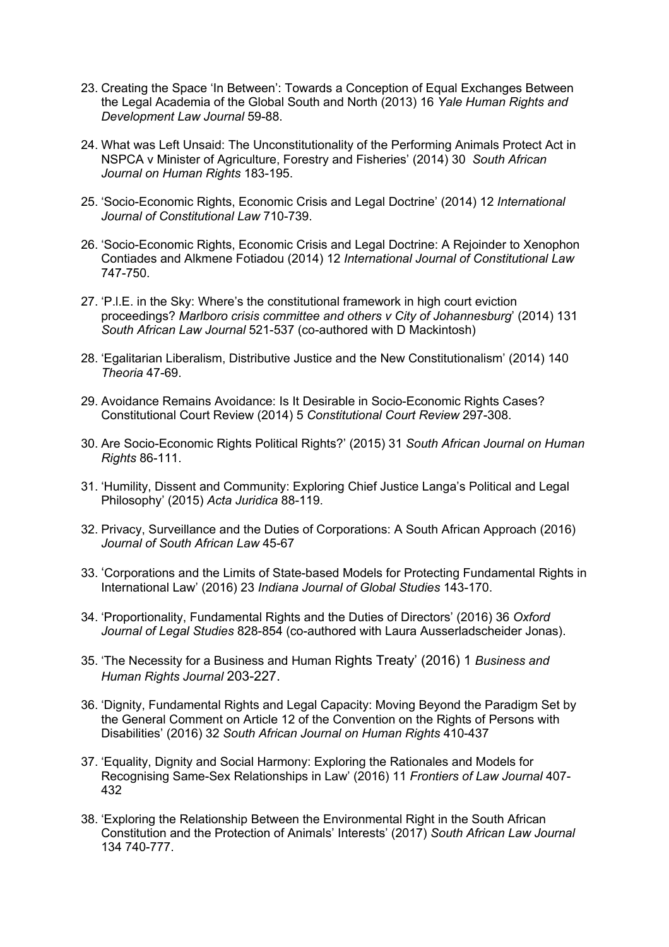- 23. Creating the Space 'In Between': Towards a Conception of Equal Exchanges Between the Legal Academia of the Global South and North (2013) 16 *Yale Human Rights and Development Law Journal* 59-88.
- 24. What was Left Unsaid: The Unconstitutionality of the Performing Animals Protect Act in NSPCA v Minister of Agriculture, Forestry and Fisheries' (2014) 30 *South African Journal on Human Rights* 183-195.
- 25. 'Socio-Economic Rights, Economic Crisis and Legal Doctrine' (2014) 12 *International Journal of Constitutional Law* 710-739.
- 26. 'Socio-Economic Rights, Economic Crisis and Legal Doctrine: A Rejoinder to Xenophon Contiades and Alkmene Fotiadou (2014) 12 *International Journal of Constitutional Law*  747-750.
- 27. 'P.l.E. in the Sky: Where's the constitutional framework in high court eviction proceedings? *Marlboro crisis committee and others v City of Johannesburg*' (2014) 131 *South African Law Journal* 521-537 (co-authored with D Mackintosh)
- 28. 'Egalitarian Liberalism, Distributive Justice and the New Constitutionalism' (2014) 140 *Theoria* 47-69.
- 29. Avoidance Remains Avoidance: Is It Desirable in Socio-Economic Rights Cases? Constitutional Court Review (2014) 5 *Constitutional Court Review* 297-308.
- 30. Are Socio-Economic Rights Political Rights?' (2015) 31 *South African Journal on Human Rights* 86-111.
- 31. 'Humility, Dissent and Community: Exploring Chief Justice Langa's Political and Legal Philosophy' (2015) *Acta Juridica* 88-119.
- 32. Privacy, Surveillance and the Duties of Corporations: A South African Approach (2016) *Journal of South African Law* 45-67
- 33. 'Corporations and the Limits of State-based Models for Protecting Fundamental Rights in International Law' (2016) 23 *Indiana Journal of Global Studies* 143-170.
- 34. 'Proportionality, Fundamental Rights and the Duties of Directors' (2016) 36 *Oxford Journal of Legal Studies* 828-854 (co-authored with Laura Ausserladscheider Jonas).
- 35. 'The Necessity for a Business and Human Rights Treaty' (2016) 1 *Business and Human Rights Journal* 203-227.
- 36. 'Dignity, Fundamental Rights and Legal Capacity: Moving Beyond the Paradigm Set by the General Comment on Article 12 of the Convention on the Rights of Persons with Disabilities' (2016) 32 *South African Journal on Human Rights* 410-437
- 37. 'Equality, Dignity and Social Harmony: Exploring the Rationales and Models for Recognising Same-Sex Relationships in Law' (2016) 11 *Frontiers of Law Journal* 407- 432
- 38. 'Exploring the Relationship Between the Environmental Right in the South African Constitution and the Protection of Animals' Interests' (2017) *South African Law Journal* 134 740-777.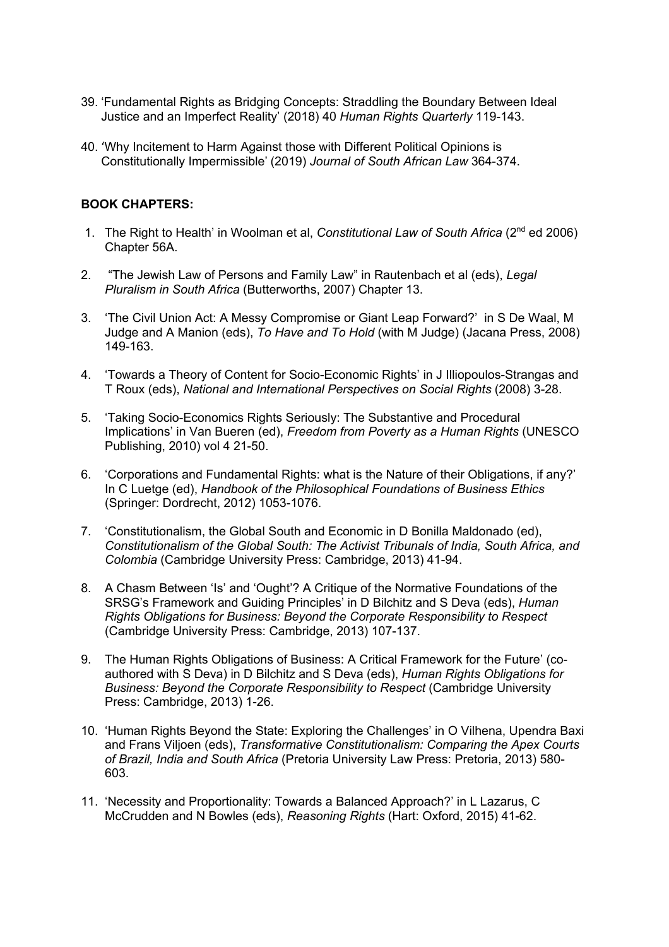- 39. 'Fundamental Rights as Bridging Concepts: Straddling the Boundary Between Ideal Justice and an Imperfect Reality' (2018) 40 *Human Rights Quarterly* 119-143.
- 40. 'Why Incitement to Harm Against those with Different Political Opinions is Constitutionally Impermissible' (2019) *Journal of South African Law* 364-374.

# **BOOK CHAPTERS:**

- 1. The Right to Health' in Woolman et al, *Constitutional Law of South Africa* (2nd ed 2006) Chapter 56A.
- 2. "The Jewish Law of Persons and Family Law" in Rautenbach et al (eds), *Legal Pluralism in South Africa* (Butterworths, 2007) Chapter 13.
- 3. 'The Civil Union Act: A Messy Compromise or Giant Leap Forward?' in S De Waal, M Judge and A Manion (eds), *To Have and To Hold* (with M Judge) (Jacana Press, 2008) 149-163.
- 4. 'Towards a Theory of Content for Socio-Economic Rights' in J Illiopoulos-Strangas and T Roux (eds), *National and International Perspectives on Social Rights* (2008) 3-28.
- 5. 'Taking Socio-Economics Rights Seriously: The Substantive and Procedural Implications' in Van Bueren (ed), *Freedom from Poverty as a Human Rights* (UNESCO Publishing, 2010) vol 4 21-50.
- 6. 'Corporations and Fundamental Rights: what is the Nature of their Obligations, if any?' In C Luetge (ed), *Handbook of the Philosophical Foundations of Business Ethics* (Springer: Dordrecht, 2012) 1053-1076.
- 7. 'Constitutionalism, the Global South and Economic in D Bonilla Maldonado (ed), *Constitutionalism of the Global South: The Activist Tribunals of India, South Africa, and Colombia* (Cambridge University Press: Cambridge, 2013) 41-94.
- 8. A Chasm Between 'Is' and 'Ought'? A Critique of the Normative Foundations of the SRSG's Framework and Guiding Principles' in D Bilchitz and S Deva (eds), *Human Rights Obligations for Business: Beyond the Corporate Responsibility to Respect* (Cambridge University Press: Cambridge, 2013) 107-137.
- 9. The Human Rights Obligations of Business: A Critical Framework for the Future' (coauthored with S Deva) in D Bilchitz and S Deva (eds), *Human Rights Obligations for Business: Beyond the Corporate Responsibility to Respect* (Cambridge University Press: Cambridge, 2013) 1-26.
- 10. 'Human Rights Beyond the State: Exploring the Challenges' in O Vilhena, Upendra Baxi and Frans Viljoen (eds), *Transformative Constitutionalism: Comparing the Apex Courts of Brazil, India and South Africa* (Pretoria University Law Press: Pretoria, 2013) 580- 603.
- 11. 'Necessity and Proportionality: Towards a Balanced Approach?' in L Lazarus, C McCrudden and N Bowles (eds), *Reasoning Rights* (Hart: Oxford, 2015) 41-62.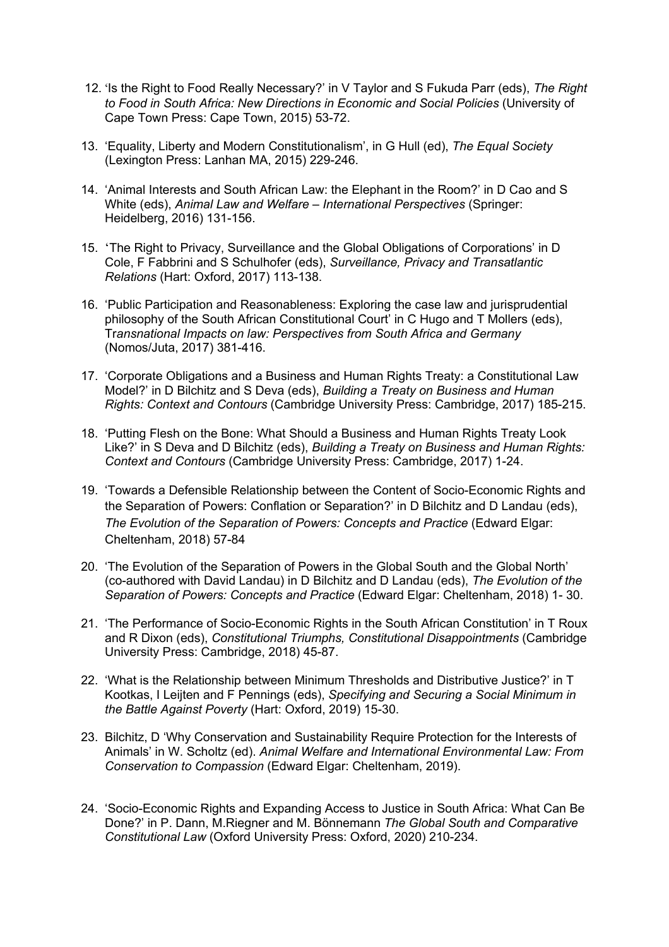- 12. 'Is the Right to Food Really Necessary?' in V Taylor and S Fukuda Parr (eds), *The Right to Food in South Africa: New Directions in Economic and Social Policies* (University of Cape Town Press: Cape Town, 2015) 53-72.
- 13. 'Equality, Liberty and Modern Constitutionalism', in G Hull (ed), *The Equal Society* (Lexington Press: Lanhan MA, 2015) 229-246.
- 14. 'Animal Interests and South African Law: the Elephant in the Room?' in D Cao and S White (eds), *Animal Law and Welfare – International Perspectives* (Springer: Heidelberg, 2016) 131-156.
- 15. 'The Right to Privacy, Surveillance and the Global Obligations of Corporations' in D Cole, F Fabbrini and S Schulhofer (eds), *Surveillance, Privacy and Transatlantic Relations* (Hart: Oxford, 2017) 113-138.
- 16. 'Public Participation and Reasonableness: Exploring the case law and jurisprudential philosophy of the South African Constitutional Court' in C Hugo and T Mollers (eds), Tr*ansnational Impacts on law: Perspectives from South Africa and Germany* (Nomos/Juta, 2017) 381-416.
- 17. 'Corporate Obligations and a Business and Human Rights Treaty: a Constitutional Law Model?' in D Bilchitz and S Deva (eds), *Building a Treaty on Business and Human Rights: Context and Contours* (Cambridge University Press: Cambridge, 2017) 185-215.
- 18. 'Putting Flesh on the Bone: What Should a Business and Human Rights Treaty Look Like?' in S Deva and D Bilchitz (eds), *Building a Treaty on Business and Human Rights: Context and Contours* (Cambridge University Press: Cambridge, 2017) 1-24.
- 19. 'Towards a Defensible Relationship between the Content of Socio-Economic Rights and the Separation of Powers: Conflation or Separation?' in D Bilchitz and D Landau (eds), *The Evolution of the Separation of Powers: Concepts and Practice* (Edward Elgar: Cheltenham, 2018) 57-84
- 20. 'The Evolution of the Separation of Powers in the Global South and the Global North' (co-authored with David Landau) in D Bilchitz and D Landau (eds), *The Evolution of the Separation of Powers: Concepts and Practice* (Edward Elgar: Cheltenham, 2018) 1- 30.
- 21. 'The Performance of Socio-Economic Rights in the South African Constitution' in T Roux and R Dixon (eds), *Constitutional Triumphs, Constitutional Disappointments* (Cambridge University Press: Cambridge, 2018) 45-87.
- 22. 'What is the Relationship between Minimum Thresholds and Distributive Justice?' in T Kootkas, I Leijten and F Pennings (eds), *Specifying and Securing a Social Minimum in the Battle Against Poverty* (Hart: Oxford, 2019) 15-30.
- 23. Bilchitz, D 'Why Conservation and Sustainability Require Protection for the Interests of Animals' in W. Scholtz (ed). *Animal Welfare and International Environmental Law: From Conservation to Compassion* (Edward Elgar: Cheltenham, 2019).
- 24. 'Socio-Economic Rights and Expanding Access to Justice in South Africa: What Can Be Done?' in P. Dann, M.Riegner and M. Bönnemann *The Global South and Comparative Constitutional Law* (Oxford University Press: Oxford, 2020) 210-234.